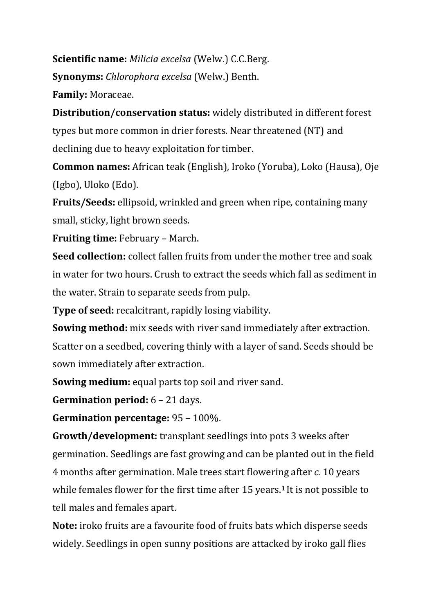**Scientific name:** *Milicia excelsa* (Welw.) C.C.Berg. **Synonyms:** *Chlorophora excelsa* (Welw.) Benth. **Family:** Moraceae.

**Distribution/conservation status:** widely distributed in different forest types but more common in drier forests. Near threatened (NT) and declining due to heavy exploitation for timber.

**Common names:** African teak (English), Iroko (Yoruba), Loko (Hausa), Oje (Igbo), Uloko (Edo).

**Fruits/Seeds:** ellipsoid, wrinkled and green when ripe, containing many small, sticky, light brown seeds.

**Fruiting time:** February – March.

**Seed collection:** collect fallen fruits from under the mother tree and soak in water for two hours. Crush to extract the seeds which fall as sediment in the water. Strain to separate seeds from pulp.

**Type of seed:** recalcitrant, rapidly losing viability.

**Sowing method:** mix seeds with river sand immediately after extraction. Scatter on a seedbed, covering thinly with a layer of sand. Seeds should be sown immediately after extraction.

**Sowing medium:** equal parts top soil and river sand.

**Germination period:** 6 – 21 days.

**Germination percentage:** 95 – 100%.

**Growth/development:** transplant seedlings into pots 3 weeks after germination. Seedlings are fast growing and can be planted out in the field 4 months after germination. Male trees start flowering after *c.* 10 years while females flower for the first time after 15 years.**1** It is not possible to tell males and females apart.

**Note:** iroko fruits are a favourite food of fruits bats which disperse seeds widely. Seedlings in open sunny positions are attacked by iroko gall flies